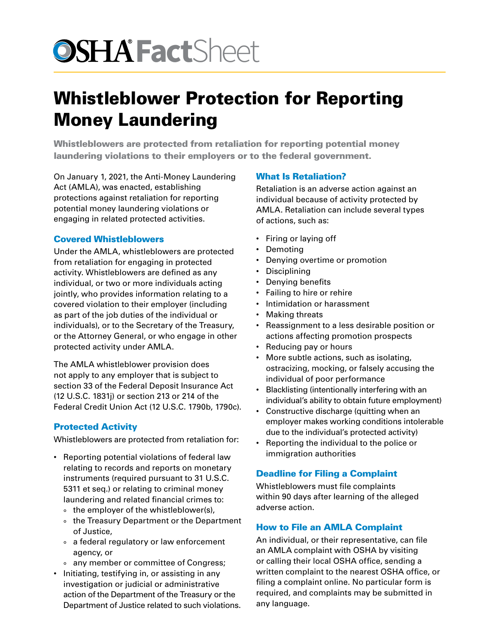# **OSHA** FactSheet

## Whistleblower Protection for Reporting Money Laundering

Whistleblowers are protected from retaliation for reporting potential money laundering violations to their employers or to the federal government.

On January 1, 2021, the Anti-Money Laundering Act (AMLA), was enacted, establishing protections against retaliation for reporting potential money laundering violations or engaging in related protected activities.

### Covered Whistleblowers

Under the AMLA, whistleblowers are protected from retaliation for engaging in protected activity. Whistleblowers are defined as any individual, or two or more individuals acting jointly, who provides information relating to a covered violation to their employer (including as part of the job duties of the individual or individuals), or to the Secretary of the Treasury, or the Attorney General, or who engage in other protected activity under AMLA.

The AMLA whistleblower provision does not apply to any employer that is subject to section 33 of the Federal Deposit Insurance Act (12 U.S.C. 1831j) or section 213 or 214 of the Federal Credit Union Act (12 U.S.C. 1790b, 1790c).

### Protected Activity

Whistleblowers are protected from retaliation for:

- Reporting potential violations of federal law relating to records and reports on monetary instruments (required pursuant to 31 U.S.C. 5311 et seq.) or relating to criminal money laundering and related financial crimes to:
	- ° the employer of the whistleblower(s),
	- ° the Treasury Department or the Department of Justice,
	- ° a federal regulatory or law enforcement agency, or
	- ° any member or committee of Congress;
- Initiating, testifying in, or assisting in any investigation or judicial or administrative action of the Department of the Treasury or the Department of Justice related to such violations.

### What Is Retaliation?

Retaliation is an adverse action against an individual because of activity protected by AMLA. Retaliation can include several types of actions, such as:

- Firing or laying off
- Demoting
- Denying overtime or promotion
- Disciplining
- Denying benefits
- Failing to hire or rehire
- Intimidation or harassment
- Making threats
- Reassignment to a less desirable position or actions affecting promotion prospects
- Reducing pay or hours
- More subtle actions, such as isolating, ostracizing, mocking, or falsely accusing the individual of poor performance
- Blacklisting (intentionally interfering with an individual's ability to obtain future employment)
- Constructive discharge (quitting when an employer makes working conditions intolerable due to the individual's protected activity)
- Reporting the individual to the police or immigration authorities

### Deadline for Filing a Complaint

Whistleblowers must file complaints within 90 days after learning of the alleged adverse action.

### How to File an AMLA Complaint

An individual, or their representative, can file an AMLA complaint with OSHA by visiting or calling their local OSHA office, sending a written complaint to the nearest OSHA office, or filing a complaint online. No particular form is required, and complaints may be submitted in any language.